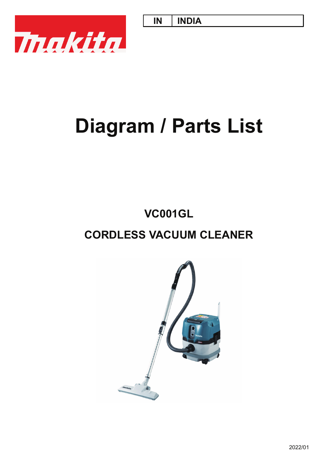**IN INDIA**



# **Diagram / Parts List**

# **CORDLESS VACUUM CLEANER VC001GL**

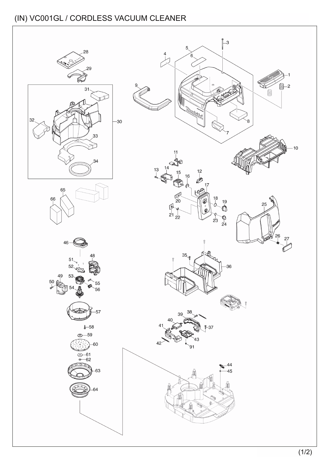## (IN) VC001GL / CORDLESS VACUUM CLEANER

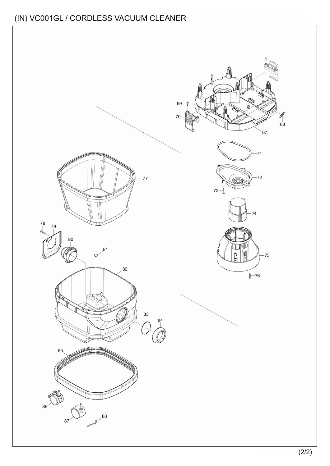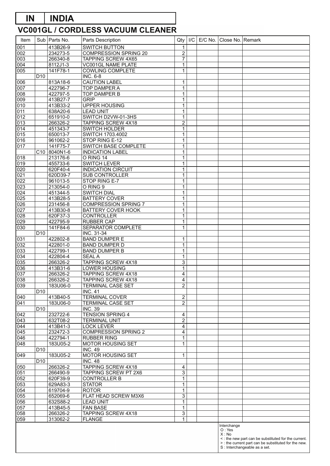### **VC001GL / CORDLESS VACUUM CLEANER IN INDIA**

| Item             |                 | Sub   Parts No.                       | Parts Description                   | Qty                     | /C | E/C No. Close No. Remark |                                                      |
|------------------|-----------------|---------------------------------------|-------------------------------------|-------------------------|----|--------------------------|------------------------------------------------------|
| 001              |                 | 413B26-9                              | <b>SWITCH BUTTON</b>                | 1                       |    |                          |                                                      |
| 002              |                 | 234273-5                              | <b>COMPRESSION SPRING 20</b>        | $\overline{2}$          |    |                          |                                                      |
| 003              |                 | 266340-8                              | TAPPING SCREW 4X65                  | $\overline{7}$          |    |                          |                                                      |
| 004              |                 | 8112J1-3                              | VC001GL NAME PLATE                  | 1                       |    |                          |                                                      |
| 005              |                 | 141F78-1                              | <b>COWLING COMPLETE</b>             | 1                       |    |                          |                                                      |
|                  | D <sub>10</sub> |                                       | <b>INC. 6-8</b>                     |                         |    |                          |                                                      |
| 006              |                 | 813A18-6                              | <b>CAUTION LABEL</b>                | 1                       |    |                          |                                                      |
| 007              |                 | 422796-7                              | TOP DAMPER A                        | $\mathbf 1$             |    |                          |                                                      |
| 008              |                 | 422797-5                              | TOP DAMPER B                        | 1                       |    |                          |                                                      |
| 009              |                 | 413B27-7                              | <b>GRIP</b>                         | $\mathbf{1}$            |    |                          |                                                      |
| 010              |                 | 413B33-2                              | <b>UPPER HOUSING</b>                | 1                       |    |                          |                                                      |
| 011              |                 | 638A20-6                              | <b>LEAD UNIT</b>                    | 1                       |    |                          |                                                      |
| 012              |                 | 651910-0                              | SWITCH D2VW-01-3HS                  | 1                       |    |                          |                                                      |
| $\overline{013}$ |                 | 266326-2                              | TAPPING SCREW 4X18                  | $\overline{2}$          |    |                          |                                                      |
| 014              |                 | 451343-7                              | SWITCH HOLDER                       | 1                       |    |                          |                                                      |
| 015              |                 | 650013-7                              | SWITCH 1703.4002                    | 1                       |    |                          |                                                      |
| 016              |                 | 961062-2                              | STOP RING E-12                      | 1                       |    |                          |                                                      |
| $\overline{017}$ |                 | 141F75-7                              | SWITCH BASE COMPLETE                | $\mathbf{1}$            |    |                          |                                                      |
|                  |                 | C <sub>10</sub> 8040N <sub>1</sub> -6 | <b>INDICATION LABEL</b>             | 1                       |    |                          |                                                      |
| 018              |                 | 213176-6                              | O RING 14                           | 1                       |    |                          |                                                      |
| 019              |                 | 455733-6                              | <b>SWITCH LEVER</b>                 | 1                       |    |                          |                                                      |
| 020              |                 | 620F40-4                              | <b>INDICATION CIRCUIT</b>           | $\mathbf{1}$            |    |                          |                                                      |
| 021              |                 | 620D39-7                              | <b>SUB CONTROLLER</b>               | 1                       |    |                          |                                                      |
| 022              |                 | 961013-5                              | STOP RING E-7                       | 1                       |    |                          |                                                      |
| 023              |                 | 213054-0                              | O RING 9                            | 1                       |    |                          |                                                      |
| 024              |                 | 451344-5                              | <b>SWITCH DIAL</b>                  | $\mathbf{1}$            |    |                          |                                                      |
| 025              |                 | 413B28-5                              | <b>BATTERY COVER</b>                | 1                       |    |                          |                                                      |
| 026              |                 | 231456-8                              | <b>COMPRESSION SPRING 7</b>         | $\mathbf 1$             |    |                          |                                                      |
| 027              |                 | 413B30-8                              | <b>BATTERY COVER HOOK</b>           | 1                       |    |                          |                                                      |
| 028              |                 | 620F37-3                              | <b>CONTROLLER</b>                   | $\mathbf{1}$            |    |                          |                                                      |
| 029              |                 | 422795-9                              | <b>RUBBER CAP</b>                   | 1                       |    |                          |                                                      |
| 030              |                 | 141F84-6                              | SEPARATOR COMPLETE                  | $\mathbf{1}$            |    |                          |                                                      |
|                  | D <sub>10</sub> |                                       | INC. 31-34                          |                         |    |                          |                                                      |
| 031              |                 | 422802-8                              | <b>BAND DUMPER E</b>                | 1                       |    |                          |                                                      |
| $\overline{032}$ |                 | 422801-0                              | <b>BAND DUMPER D</b>                | 1                       |    |                          |                                                      |
| 033              |                 | 422799-1                              | <b>BAND DUMPER B</b>                | 1                       |    |                          |                                                      |
| 034              |                 | 422804-4                              | <b>SEALA</b>                        | 1                       |    |                          |                                                      |
| 035              |                 | 266326-2                              | <b>TAPPING SCREW 4X18</b>           | 3                       |    |                          |                                                      |
| 036              |                 | 413B31-6                              | LOWER HOUSING                       | $\mathbf{1}$            |    |                          |                                                      |
| 037              |                 | 266326-2                              | <b>TAPPING SCREW 4X18</b>           | 4                       |    |                          |                                                      |
| 038              |                 | 266326-2                              | TAPPING SCREW 4X18                  | $\overline{4}$          |    |                          |                                                      |
| 039              |                 | 183U06-0                              | TERMINAL CASE SET                   | 2                       |    |                          |                                                      |
|                  | D <sub>10</sub> |                                       | <b>INC. 41</b>                      |                         |    |                          |                                                      |
| 040              |                 | 413B40-5                              | <b>TERMINAL COVER</b>               | 2                       |    |                          |                                                      |
| 041              |                 | 183U06-0                              | TERMINAL CASE SET                   | $\overline{c}$          |    |                          |                                                      |
|                  | D <sub>10</sub> |                                       | <b>INC. 39</b>                      |                         |    |                          |                                                      |
| 042              |                 | 232722-6                              | <b>TENSION SPRING 4</b>             | 4                       |    |                          |                                                      |
| 043              |                 | 632T08-2                              | <b>TERMINAL UNIT</b>                | $\overline{\mathbf{c}}$ |    |                          |                                                      |
| 044              |                 | 413B41-3                              | <b>LOCK LEVER</b>                   | $\overline{4}$          |    |                          |                                                      |
| 045              |                 | 232472-3                              | <b>COMPRESSION SPRING 2</b>         | $\overline{\mathbf{4}}$ |    |                          |                                                      |
| 046              |                 | 422794-1                              | <b>RUBBER RING</b>                  | $\mathbf{1}$            |    |                          |                                                      |
| 048              |                 | 183U05-2                              | MOTOR HOUSING SET                   | 1                       |    |                          |                                                      |
| 049              | D <sub>10</sub> | 183U05-2                              | <b>INC. 49</b><br>MOTOR HOUSING SET | 1                       |    |                          |                                                      |
|                  | D <sub>10</sub> |                                       | <b>INC. 48</b>                      |                         |    |                          |                                                      |
| 050              |                 | 266326-2                              | TAPPING SCREW 4X18                  | 4                       |    |                          |                                                      |
| 051              |                 | 266490-9                              | TAPPING SCREW PT 2X6                | 3                       |    |                          |                                                      |
| 052              |                 | 620F39-9                              | <b>CONTROLLER B</b>                 | $\mathbf 1$             |    |                          |                                                      |
| 053              |                 | 629A83-3                              | <b>STATOR</b>                       | $\mathbf{1}$            |    |                          |                                                      |
| 054              |                 | 619704-9                              | <b>ROTOR</b>                        | 1                       |    |                          |                                                      |
| 055              |                 | 652069-6                              | FLAT HEAD SCREW M3X6                | 3                       |    |                          |                                                      |
| 056              |                 | 632S88-2                              | <b>LEAD UNIT</b>                    | $\mathbf{1}$            |    |                          |                                                      |
| 057              |                 | 413B45-5                              | <b>FAN BASE</b>                     | $\mathbf{1}$            |    |                          |                                                      |
| 058              |                 | 266326-2                              | TAPPING SCREW 4X18                  | $\overline{3}$          |    |                          |                                                      |
| 059              |                 | 313062-2                              | <b>FLANGE</b>                       | 1                       |    |                          |                                                      |
|                  |                 |                                       |                                     |                         |    | Interchange              |                                                      |
|                  |                 |                                       |                                     |                         |    | O: Yes                   |                                                      |
|                  |                 |                                       |                                     |                         |    | X: No                    | <: the new part can be substituted for the current.  |
|                  |                 |                                       |                                     |                         |    |                          | > : the current part can be substituted for the new. |
|                  |                 |                                       |                                     |                         |    |                          | S : Interchangeable as a set.                        |